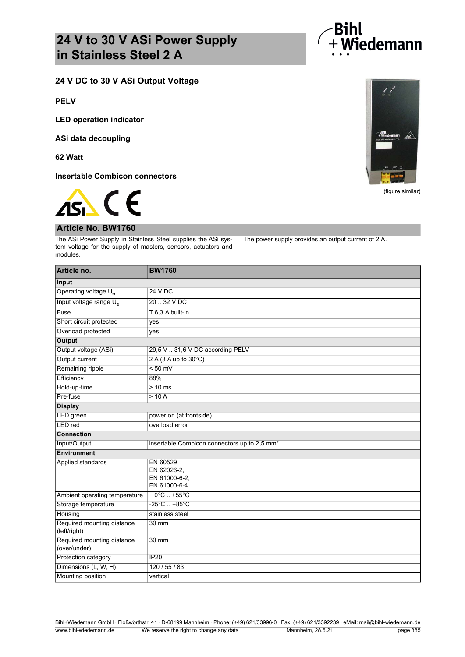### **24 V to 30 V ASi Power Supply in Stainless Steel 2 A**

### **24 V DC to 30 V ASi Output Voltage**

**PELV**

**LED operation indicator**

**ASi data decoupling**

**62 Watt**

**Input**

**Insertable Combicon connectors**

**Article no. BW1760**

Operating voltage  $U_e$  24 V DC Input voltage range  $U_e$  20 .. 32 V DC Fuse T 6,3 A built-in

# $\epsilon$

#### **Article No. BW1760**

The ASi Power Supply in Stainless Steel supplies the ASi system voltage for the supply of masters, sensors, actuators and modules.

The power supply provides an output current of 2 A.

| Short circuit protected       | yes                                                      |
|-------------------------------|----------------------------------------------------------|
| Overload protected            | yes                                                      |
| Output                        |                                                          |
| Output voltage (ASi)          | 29,5 V  31,6 V DC according PELV                         |
| Output current                | 2 A (3 A up to 30°C)                                     |
| Remaining ripple              | $< 50$ mV                                                |
| Efficiency                    | 88%                                                      |
| Hold-up-time                  | $> 10$ ms                                                |
| Pre-fuse                      | >10A                                                     |
| <b>Display</b>                |                                                          |
| LED green                     | power on (at frontside)                                  |
| <b>LED</b> red                | overload error                                           |
| <b>Connection</b>             |                                                          |
| Input/Output                  | insertable Combicon connectors up to 2,5 mm <sup>2</sup> |
| Environment                   |                                                          |
| Applied standards             | EN 60529                                                 |
|                               | EN 62026-2,                                              |
|                               | EN 61000-6-2.                                            |
|                               | EN 61000-6-4                                             |
| Ambient operating temperature | $0^{\circ}$ C $. +55^{\circ}$ C                          |
| Storage temperature           | $-25^{\circ}$ C +85 $^{\circ}$ C                         |
| Housing                       | stainless steel                                          |
| Required mounting distance    | $30 \text{ mm}$                                          |
| (left/right)                  |                                                          |
| Required mounting distance    | $30 \text{ mm}$                                          |
| (over/under)                  |                                                          |
| Protection category           | IP20                                                     |
| Dimensions (L, W, H)          | 120/55/83                                                |
| Mounting position             | vertical                                                 |



(figure similar)